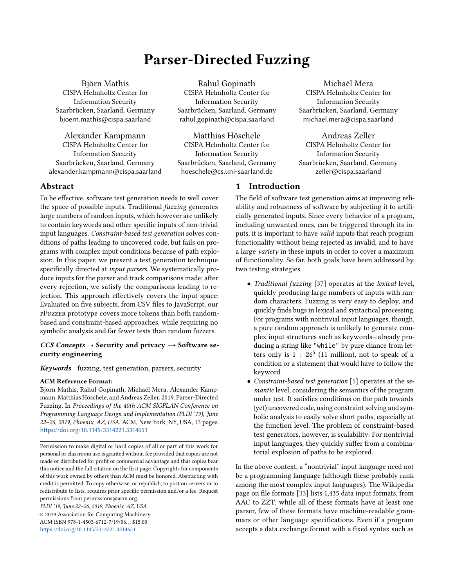# Parser-Directed Fuzzing

Björn Mathis CISPA Helmholtz Center for Information Security Saarbrücken, Saarland, Germany bjoern.mathis@cispa.saarland

Alexander Kampmann CISPA Helmholtz Center for Information Security Saarbrücken, Saarland, Germany alexander.kampmann@cispa.saarland

# Abstract

To be effective, software test generation needs to well cover the space of possible inputs. Traditional fuzzing generates large numbers of random inputs, which however are unlikely to contain keywords and other specific inputs of non-trivial input languages. Constraint-based test generation solves conditions of paths leading to uncovered code, but fails on programs with complex input conditions because of path explosion. In this paper, we present a test generation technique specifically directed at input parsers. We systematically produce inputs for the parser and track comparisons made; after every rejection, we satisfy the comparisons leading to rejection. This approach effectively covers the input space: Evaluated on five subjects, from CSV files to JavaScript, our pFuzzer prototype covers more tokens than both randombased and constraint-based approaches, while requiring no symbolic analysis and far fewer tests than random fuzzers.

### CCS Concepts • Security and privacy  $\rightarrow$  Software security engineering.

Keywords fuzzing, test generation, parsers, security

### ACM Reference Format:

Björn Mathis, Rahul Gopinath, Michaël Mera, Alexander Kampmann, Matthias Höschele, and Andreas Zeller. 2019. Parser-Directed Fuzzing. In Proceedings of the 40th ACM SIGPLAN Conference on Programming Language Design and Implementation (PLDI '19), June 22–26, 2019, Phoenix, AZ, USA. ACM, New York, NY, USA, [13](#page-12-0) pages. <https://doi.org/10.1145/3314221.3314651>

PLDI '19, June 22–26, 2019, Phoenix, AZ, USA

© 2019 Association for Computing Machinery. ACM ISBN 978-1-4503-6712-7/19/06. . . \$15.00 <https://doi.org/10.1145/3314221.3314651>

Rahul Gopinath CISPA Helmholtz Center for Information Security Saarbrücken, Saarland, Germany rahul.gopinath@cispa.saarland

Matthias Höschele CISPA Helmholtz Center for Information Security Saarbrücken, Saarland, Germany hoeschele@cs.uni-saarland.de

# 1 Introduction

The field of software test generation aims at improving reliability and robustness of software by subjecting it to artificially generated inputs. Since every behavior of a program, including unwanted ones, can be triggered through its inputs, it is important to have valid inputs that reach program functionality without being rejected as invalid, and to have a large variety in these inputs in order to cover a maximum of functionality. So far, both goals have been addressed by two testing strategies.

- Traditional fuzzing [\[37\]](#page-12-1) operates at the lexical level, quickly producing large numbers of inputs with random characters. Fuzzing is very easy to deploy, and quickly finds bugs in lexical and syntactical processing. For programs with nontrivial input languages, though, a pure random approach is unlikely to generate complex input structures such as keywords—already producing a string like "while" by pure chance from letters only is  $1:26^5$  (11 million), not to speak of a condition or a statement that would have to follow the keyword.
- Constraint-based test generation [\[5\]](#page-12-2) operates at the semantic level, considering the semantics of the program under test. It satisfies conditions on the path towards (yet) uncovered code, using constraint solving and symbolic analysis to easily solve short paths, especially at the function level. The problem of constraint-based test generators, however, is scalability: For nontrivial input languages, they quickly suffer from a combinatorial explosion of paths to be explored.

In the above context, a "nontrivial" input language need not be a programming language (although these probably rank among the most complex input languages). The Wikipedia page on file formats [\[33\]](#page-12-3) lists 1,435 data input formats, from AAC to ZZT; while all of these formats have at least one parser, few of these formats have machine-readable grammars or other language specifications. Even if a program accepts a data exchange format with a fixed syntax such as

Michaël Mera CISPA Helmholtz Center for Information Security Saarbrücken, Saarland, Germany michael.mera@cispa.saarland

Andreas Zeller CISPA Helmholtz Center for Information Security Saarbrücken, Saarland, Germany zeller@cispa.saarland

Permission to make digital or hard copies of all or part of this work for personal or classroom use is granted without fee provided that copies are not made or distributed for profit or commercial advantage and that copies bear this notice and the full citation on the first page. Copyrights for components of this work owned by others than ACM must be honored. Abstracting with credit is permitted. To copy otherwise, or republish, to post on servers or to redistribute to lists, requires prior specific permission and/or a fee. Request permissions from permissions@acm.org.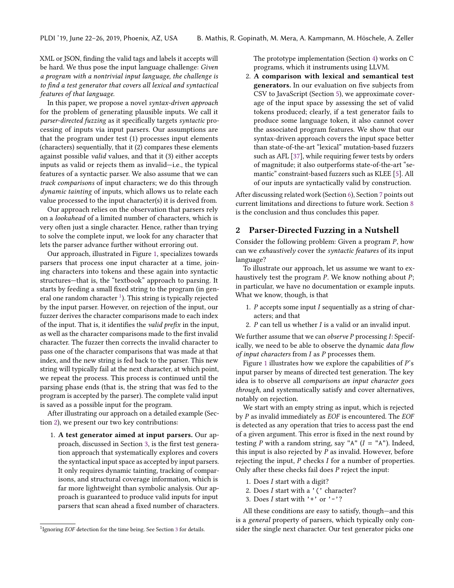XML or JSON, finding the valid tags and labels it accepts will be hard. We thus pose the input language challenge: Given a program with a nontrivial input language, the challenge is to find a test generator that covers all lexical and syntactical features of that language.

In this paper, we propose a novel syntax-driven approach for the problem of generating plausible inputs. We call it parser-directed fuzzing as it specifically targets syntactic processing of inputs via input parsers. Our assumptions are that the program under test (1) processes input elements (characters) sequentially, that it (2) compares these elements against possible valid values, and that it (3) either accepts inputs as valid or rejects them as invalid—i.e., the typical features of a syntactic parser. We also assume that we can track comparisons of input characters; we do this through dynamic tainting of inputs, which allows us to relate each value processed to the input character(s) it is derived from.

Our approach relies on the observation that parsers rely on a lookahead of a limited number of characters, which is very often just a single character. Hence, rather than trying to solve the complete input, we look for any character that lets the parser advance further without erroring out.

Our approach, illustrated in Figure [1,](#page-2-0) specializes towards parsers that process one input character at a time, joining characters into tokens and these again into syntactic structures—that is, the "textbook" approach to parsing. It starts by feeding a small fixed string to the program (in general one random character  $^1$  $^1$ ). This string is typically rejected by the input parser. However, on rejection of the input, our fuzzer derives the character comparisons made to each index of the input. That is, it identifies the valid prefix in the input, as well as the character comparisons made to the first invalid character. The fuzzer then corrects the invalid character to pass one of the character comparisons that was made at that index, and the new string is fed back to the parser. This new string will typically fail at the next character, at which point, we repeat the process. This process is continued until the parsing phase ends (that is, the string that was fed to the program is accepted by the parser). The complete valid input is saved as a possible input for the program.

After illustrating our approach on a detailed example (Section [2\)](#page-1-1), we present our two key contributions:

1. A test generator aimed at input parsers. Our approach, discussed in Section [3,](#page-3-0) is the first test generation approach that systematically explores and covers the syntactical input space as accepted by input parsers. It only requires dynamic tainting, tracking of comparisons, and structural coverage information, which is far more lightweight than symbolic analysis. Our approach is guaranteed to produce valid inputs for input parsers that scan ahead a fixed number of characters. The prototype implementation (Section [4\)](#page-5-0) works on C programs, which it instruments using LLVM.

2. A comparison with lexical and semantical test generators. In our evaluation on five subjects from CSV to JavaScript (Section [5\)](#page-5-1), we approximate coverage of the input space by assessing the set of valid tokens produced; clearly, if a test generator fails to produce some language token, it also cannot cover the associated program features. We show that our syntax-driven approach covers the input space better than state-of-the-art "lexical" mutation-based fuzzers such as AFL [\[37\]](#page-12-1), while requiring fewer tests by orders of magnitude; it also outperforms state-of-the-art "semantic" constraint-based fuzzers such as KLEE [\[5\]](#page-12-2). All of our inputs are syntactically valid by construction.

After discussing related work (Section [6\)](#page-8-0), Section [7](#page-10-0) points out current limitations and directions to future work. Section [8](#page-11-0) is the conclusion and thus concludes this paper.

### <span id="page-1-1"></span>2 Parser-Directed Fuzzing in a Nutshell

Consider the following problem: Given a program P, how can we exhaustively cover the syntactic features of its input language?

To illustrate our approach, let us assume we want to exhaustively test the program  $P$ . We know nothing about  $P$ ; in particular, we have no documentation or example inputs. What we know, though, is that

- 1.  $P$  accepts some input  $I$  sequentially as a string of characters; and that
- 2. P can tell us whether I is a valid or an invalid input.

We further assume that we can *observe P* processing *I*: Specifically, we need to be able to observe the dynamic data flow of input characters from  $I$  as  $P$  processes them.

Figure [1](#page-2-0) illustrates how we explore the capabilities of P's input parser by means of directed test generation. The key idea is to observe all comparisons an input character goes through, and systematically satisfy and cover alternatives, notably on rejection.

We start with an empty string as input, which is rejected by P as invalid immediately as EOF is encountered. The EOF is detected as any operation that tries to access past the end of a given argument. This error is fixed in the next round by testing P with a random string, say "A"  $(I = "A")$ . Indeed, this input is also rejected by  $P$  as invalid. However, before rejecting the input, P checks I for a number of properties. Only after these checks fail does P reject the input:

- <span id="page-1-3"></span>1. Does I start with a digit?
- <span id="page-1-2"></span>2. Does I start with a '(' character?
- 3. Does  $I$  start with '+' or '-'?

All these conditions are easy to satisfy, though—and this is a general property of parsers, which typically only consider the single next character. Our test generator picks one

<span id="page-1-0"></span><sup>&</sup>lt;sup>1</sup>Ignoring EOF detection for the time being. See Section [3](#page-3-0) for details.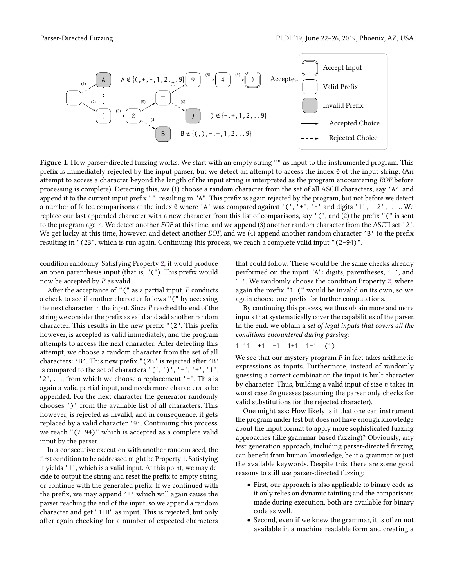<span id="page-2-0"></span>

Figure 1. How parser-directed fuzzing works. We start with an empty string "" as input to the instrumented program. This prefix is immediately rejected by the input parser, but we detect an attempt to access the index 0 of the input string. (An attempt to access a character beyond the length of the input string is interpreted as the program encountering EOF before processing is complete). Detecting this, we (1) choose a random character from the set of all ASCII characters, say 'A', and append it to the current input prefix "", resulting in "A". This prefix is again rejected by the program, but not before we detect a number of failed comparisons at the index  $\theta$  where 'A' was compared against '(', '+', '-' and digits '1', '2', .... We replace our last appended character with a new character from this list of comparisons, say '(', and (2) the prefix "(" is sent to the program again. We detect another EOF at this time, and we append (3) another random character from the ASCII set '2'. We get lucky at this time, however, and detect another EOF, and we (4) append another random character 'B' to the prefix resulting in "(2B", which is run again. Continuing this process, we reach a complete valid input "(2-94)".

condition randomly. Satisfying Property [2,](#page-1-2) it would produce an open parenthesis input (that is, "("). This prefix would now be accepted by  $P$  as valid.

After the acceptance of  $"$  ( $"$  as a partial input,  $P$  conducts a check to see if another character follows "(" by accessing the next character in the input. Since P reached the end of the string we consider the prefix as valid and add another random character. This results in the new prefix "(2". This prefix however, is accepted as valid immediately, and the program attempts to access the next character. After detecting this attempt, we choose a random character from the set of all characters: 'B'. This new prefix "(2B" is rejected after 'B' is compared to the set of characters ' $(', ')', '-'', ''+', '1',$ '2', . . ., from which we choose a replacement '-'. This is again a valid partial input, and needs more characters to be appended. For the next character the generator randomly chooses ')' from the available list of all characters. This however, is rejected as invalid, and in consequence, it gets replaced by a valid character '9'. Continuing this process, we reach "(2-94)" which is accepted as a complete valid input by the parser.

In a consecutive execution with another random seed, the first condition to be addressed might be Property [1.](#page-1-3) Satisfying it yields '1', which is a valid input. At this point, we may decide to output the string and reset the prefix to empty string, or continue with the generated prefix. If we continued with the prefix, we may append '+' which will again cause the parser reaching the end of the input, so we append a random character and get "1+B" as input. This is rejected, but only after again checking for a number of expected characters

that could follow. These would be the same checks already performed on the input "A": digits, parentheses, '+', and '-'. We randomly choose the condition Property [2,](#page-1-2) where again the prefix "1+(" would be invalid on its own, so we again choose one prefix for further computations.

By continuing this process, we thus obtain more and more inputs that systematically cover the capabilities of the parser. In the end, we obtain a set of legal inputs that covers all the conditions encountered during parsing:

#### 1 11 +1 -1 1+1 1-1 (1)

We see that our mystery program  $P$  in fact takes arithmetic expressions as inputs. Furthermore, instead of randomly guessing a correct combination the input is built character by character. Thus, building a valid input of size  $n$  takes in worst case 2n guesses (assuming the parser only checks for valid substitutions for the rejected character).

One might ask: How likely is it that one can instrument the program under test but does not have enough knowledge about the input format to apply more sophisticated fuzzing approaches (like grammar based fuzzing)? Obviously, any test generation approach, including parser-directed fuzzing, can benefit from human knowledge, be it a grammar or just the available keywords. Despite this, there are some good reasons to still use parser-directed fuzzing:

- First, our approach is also applicable to binary code as it only relies on dynamic tainting and the comparisons made during execution, both are available for binary code as well.
- Second, even if we knew the grammar, it is often not available in a machine readable form and creating a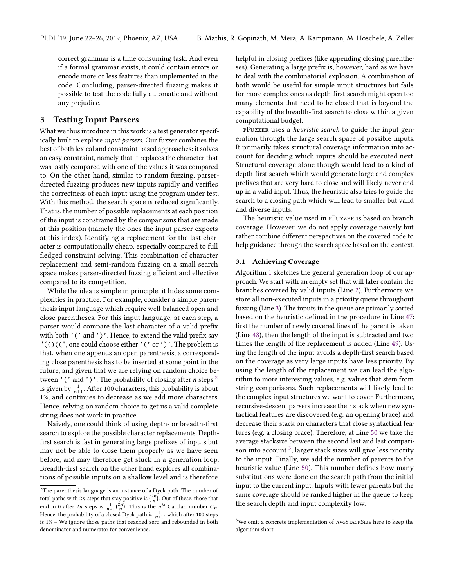correct grammar is a time consuming task. And even if a formal grammar exists, it could contain errors or encode more or less features than implemented in the code. Concluding, parser-directed fuzzing makes it possible to test the code fully automatic and without any prejudice.

### <span id="page-3-0"></span>3 Testing Input Parsers

What we thus introduce in this work is a test generator specifically built to explore input parsers. Our fuzzer combines the best of both lexical and constraint-based approaches: it solves an easy constraint, namely that it replaces the character that was lastly compared with one of the values it was compared to. On the other hand, similar to random fuzzing, parserdirected fuzzing produces new inputs rapidly and verifies the correctness of each input using the program under test. With this method, the search space is reduced significantly. That is, the number of possible replacements at each position of the input is constrained by the comparisons that are made at this position (namely the ones the input parser expects at this index). Identifying a replacement for the last character is computationally cheap, especially compared to full fledged constraint solving. This combination of character replacement and semi-random fuzzing on a small search space makes parser-directed fuzzing efficient and effective compared to its competition.

While the idea is simple in principle, it hides some complexities in practice. For example, consider a simple parenthesis input language which require well-balanced open and close parentheses. For this input language, at each step, a parser would compare the last character of a valid prefix with both '(' and ')'. Hence, to extend the valid prefix say  $"(()("$ , one could choose either ' $('$  or ')'. The problem is that, when one appends an open parenthesis, a corresponding close parenthesis has to be inserted at some point in the future, and given that we are relying on random choice between '(' and ')'. The probability of closing after *n* steps  $^2$  $^2$ is given by  $\frac{1}{n+1}$ . After 100 characters, this probability is about 1%, and continues to decrease as we add more characters. Hence, relying on random choice to get us a valid complete string does not work in practice.

Naively, one could think of using depth- or breadth-first search to explore the possible character replacements. Depthfirst search is fast in generating large prefixes of inputs but may not be able to close them properly as we have seen before, and may therefore get stuck in a generation loop. Breadth-first search on the other hand explores all combinations of possible inputs on a shallow level and is therefore

helpful in closing prefixes (like appending closing parentheses). Generating a large prefix is, however, hard as we have to deal with the combinatorial explosion. A combination of both would be useful for simple input structures but fails for more complex ones as depth-first search might open too many elements that need to be closed that is beyond the capability of the breadth-first search to close within a given computational budget.

pFuzzer uses a heuristic search to guide the input generation through the large search space of possible inputs. It primarily takes structural coverage information into account for deciding which inputs should be executed next. Structural coverage alone though would lead to a kind of depth-first search which would generate large and complex prefixes that are very hard to close and will likely never end up in a valid input. Thus, the heuristic also tries to guide the search to a closing path which will lead to smaller but valid and diverse inputs.

The heuristic value used in pFuzzer is based on branch coverage. However, we do not apply coverage naively but rather combine different perspectives on the covered code to help guidance through the search space based on the context.

### 3.1 Achieving Coverage

Algorithm [1](#page-4-0) sketches the general generation loop of our approach. We start with an empty set that will later contain the branches covered by valid inputs (Line [2\)](#page-4-1). Furthermore we store all non-executed inputs in a priority queue throughout fuzzing (Line [3\)](#page-4-2). The inputs in the queue are primarily sorted based on the heuristic defined in the procedure in Line [47:](#page-4-3) first the number of newly covered lines of the parent is taken (Line [48\)](#page-4-4), then the length of the input is subtracted and two times the length of the replacement is added (Line [49\)](#page-4-5). Using the length of the input avoids a depth-first search based on the coverage as very large inputs have less priority. By using the length of the replacement we can lead the algorithm to more interesting values, e.g. values that stem from string comparisons. Such replacements will likely lead to the complex input structures we want to cover. Furthermore, recursive-descent parsers increase their stack when new syntactical features are discovered (e.g. an opening brace) and decrease their stack on characters that close syntactical features (e.g. a closing brace). Therefore, at Line [50](#page-4-6) we take the average stacksize between the second last and last comparison into account  $3$ , larger stack sizes will give less priority to the input. Finally, we add the number of parents to the heuristic value (Line [50\)](#page-4-6). This number defines how many substitutions were done on the search path from the initial input to the current input. Inputs with fewer parents but the same coverage should be ranked higher in the queue to keep the search depth and input complexity low.

<span id="page-3-1"></span><sup>2</sup>The parenthesis language is an instance of a Dyck path. The number of total paths with 2n steps that stay positive is  $\binom{2n}{n}$ . Out of these, those that end in 0 after 2*n* steps is  $\frac{1}{n+1} {2n \choose n}$ . This is the *n*<sup>th</sup> Catalan number  $C_n$ . Hence, the probability of a closed Dyck path is  $\frac{1}{n+1}$ , which after 100 steps is 1% – We ignore those paths that reached zero and rebounded in both denominator and numerator for convenience.

<span id="page-3-2"></span><sup>&</sup>lt;sup>3</sup>We omit a concrete implementation of AVGSTACKSIZE here to keep the algorithm short.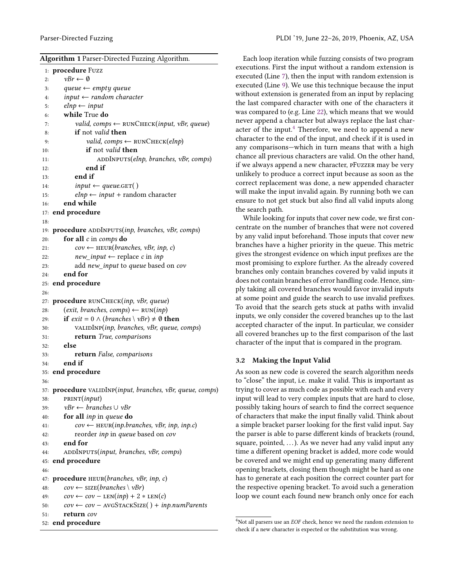<span id="page-4-8"></span><span id="page-4-7"></span><span id="page-4-2"></span><span id="page-4-1"></span><span id="page-4-0"></span>

|     | Algorithm 1 Parser-Directed Fuzzing Algorithm.                          |
|-----|-------------------------------------------------------------------------|
|     | 1: procedure Fuzz                                                       |
| 2:  | $vBr \leftarrow \emptyset$                                              |
| 3:  | $queue \leftarrow empty queue$                                          |
| 4:  | input $\leftarrow$ random character                                     |
| 5:  | $\ell$ lnp $\leftarrow$ input                                           |
| 6:  | while True do                                                           |
| 7:  | valid, comps $\leftarrow$ RUNCHECK(input, vBr, queue)                   |
| 8:  | <b>if</b> not <i>valid</i> then                                         |
| 9:  | valid, comps $\leftarrow$ RUNCHECK(eInp)                                |
| 10: | <b>if</b> not <i>valid</i> <b>then</b>                                  |
| 11: | ADDINPUTS(eInp, branches, vBr, comps)                                   |
| 12: | end if                                                                  |
| 13: | end if                                                                  |
| 14: | $input \leftarrow queue.GET()$                                          |
| 15: | $\ell$ <i>eInp</i> $\leftarrow$ <i>input</i> + random character         |
| 16: | end while                                                               |
|     | 17: end procedure                                                       |
| 18: |                                                                         |
|     | 19: procedure ADDINPUTS(inp, branches, vBr, comps)                      |
| 20: | for all $c$ in comps do                                                 |
| 21: | $cov \leftarrow \text{HEUR}(branches, vBr, inp, c)$                     |
| 22: | $new\_input \leftarrow replace c in inp$                                |
| 23: | add new_input to queue based on cov                                     |
| 24: | end for                                                                 |
|     | 25: end procedure                                                       |
| 26: |                                                                         |
|     | 27: procedure RUNCHECK(inp, vBr, queue)                                 |
| 28: | $(exit, branches, compos) \leftarrow \text{run}(inp)$                   |
| 29: | <b>if</b> $exit = 0 \land (branches \setminus vBr) \neq \emptyset$ then |
| 30: | VALIDINP(inp, branches, vBr, queue, comps)                              |
| 31: | return True, comparisons                                                |
| 32: | else                                                                    |
| 33: | return False, comparisons                                               |
| 34: | end if                                                                  |
|     | 35: end procedure                                                       |
| 36: | 37: procedure VALIDINP(input, branches, vBr, queue, comps)              |
| 38: | PRINT(input)                                                            |
| 39: | $vBr \leftarrow branches \cup vBr$                                      |
| 40: | for all inp in queue do                                                 |
| 41: | $cov \leftarrow \text{HEUR}(inp.branches, vBr, inp, inp.c)$             |
| 42: | reorder inp in queue based on cov                                       |
| 43: | end for                                                                 |
| 44: | ADDINPUTS(input, branches, vBr, comps)                                  |
|     | 45: end procedure                                                       |
| 46: |                                                                         |
|     | 47: procedure HEUR(branches, vBr, inp, c)                               |
| 48: | $cov \leftarrow$ size( <i>branches</i> \ <i>vBr</i> )                   |
| 49: | $cov \leftarrow cov - \text{LEN}(inp) + 2 * \text{LEN}(c)$              |
| 50: | $cov \leftarrow cov - \text{AVGStackSize}( ) + inp_number$              |
| 51: | return cov                                                              |
|     | 52: end procedure                                                       |

Each loop iteration while fuzzing consists of two program executions. First the input without a random extension is executed (Line [7\)](#page-4-7), then the input with random extension is executed (Line [9\)](#page-4-8). We use this technique because the input without extension is generated from an input by replacing the last compared character with one of the characters it was compared to (e.g. Line [22\)](#page-4-9), which means that we would never append a character but always replace the last character of the input. $4$  Therefore, we need to append a new character to the end of the input, and check if it is used in any comparisons—which in turn means that with a high chance all previous characters are valid. On the other hand, if we always append a new character, pFuzzer may be very unlikely to produce a correct input because as soon as the correct replacement was done, a new appended character will make the input invalid again. By running both we can ensure to not get stuck but also find all valid inputs along the search path.

<span id="page-4-9"></span>While looking for inputs that cover new code, we first concentrate on the number of branches that were not covered by any valid input beforehand. Those inputs that cover new branches have a higher priority in the queue. This metric gives the strongest evidence on which input prefixes are the most promising to explore further. As the already covered branches only contain branches covered by valid inputs it does not contain branches of error handling code. Hence, simply taking all covered branches would favor invalid inputs at some point and guide the search to use invalid prefixes. To avoid that the search gets stuck at paths with invalid inputs, we only consider the covered branches up to the last accepted character of the input. In particular, we consider all covered branches up to the first comparison of the last character of the input that is compared in the program.

# 3.2 Making the Input Valid

<span id="page-4-11"></span>As soon as new code is covered the search algorithm needs to "close" the input, i.e. make it valid. This is important as trying to cover as much code as possible with each and every input will lead to very complex inputs that are hard to close, possibly taking hours of search to find the correct sequence of characters that make the input finally valid. Think about a simple bracket parser looking for the first valid input. Say the parser is able to parse different kinds of brackets (round, square, pointed,  $\dots$ ). As we never had any valid input any time a different opening bracket is added, more code would be covered and we might end up generating many different opening brackets, closing them though might be hard as one has to generate at each position the correct counter part for the respective opening bracket. To avoid such a generation loop we count each found new branch only once for each

<span id="page-4-10"></span><span id="page-4-6"></span><span id="page-4-5"></span><span id="page-4-4"></span><span id="page-4-3"></span><sup>&</sup>lt;sup>4</sup>Not all parsers use an EOF check, hence we need the random extension to check if a new character is expected or the substitution was wrong.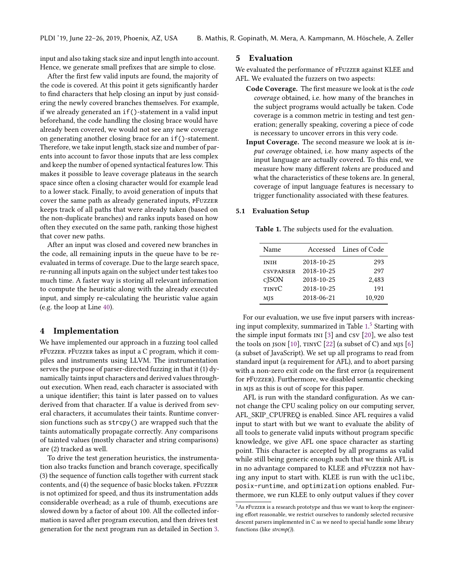input and also taking stack size and input length into account. Hence, we generate small prefixes that are simple to close.

After the first few valid inputs are found, the majority of the code is covered. At this point it gets significantly harder to find characters that help closing an input by just considering the newly covered branches themselves. For example, if we already generated an if()-statement in a valid input beforehand, the code handling the closing brace would have already been covered, we would not see any new coverage on generating another closing brace for an if()-statement. Therefore, we take input length, stack size and number of parents into account to favor those inputs that are less complex and keep the number of opened syntactical features low. This makes it possible to leave coverage plateaus in the search space since often a closing character would for example lead to a lower stack. Finally, to avoid generation of inputs that cover the same path as already generated inputs, pFuzzer keeps track of all paths that were already taken (based on the non-duplicate branches) and ranks inputs based on how often they executed on the same path, ranking those highest that cover new paths.

After an input was closed and covered new branches in the code, all remaining inputs in the queue have to be reevaluated in terms of coverage. Due to the large search space, re-running all inputs again on the subject under test takes too much time. A faster way is storing all relevant information to compute the heuristic along with the already executed input, and simply re-calculating the heuristic value again (e.g. the loop at Line [40\)](#page-4-11).

### <span id="page-5-0"></span>4 Implementation

We have implemented our approach in a fuzzing tool called pFuzzer. pFuzzer takes as input a C program, which it compiles and instruments using LLVM. The instrumentation serves the purpose of parser-directed fuzzing in that it (1) dynamically taints input characters and derived values throughout execution. When read, each character is associated with a unique identifier; this taint is later passed on to values derived from that character. If a value is derived from several characters, it accumulates their taints. Runtime conversion functions such as strcpy() are wrapped such that the taints automatically propagate correctly. Any comparisons of tainted values (mostly character and string comparisons) are (2) tracked as well.

To drive the test generation heuristics, the instrumentation also tracks function and branch coverage, specifically (3) the sequence of function calls together with current stack contents, and (4) the sequence of basic blocks taken. pFuzzer is not optimized for speed, and thus its instrumentation adds considerable overhead; as a rule of thumb, executions are slowed down by a factor of about 100. All the collected information is saved after program execution, and then drives test generation for the next program run as detailed in Section [3.](#page-3-0)

# <span id="page-5-1"></span>5 Evaluation

We evaluated the performance of pFuzzer against KLEE and AFL. We evaluated the fuzzers on two aspects:

- Code Coverage. The first measure we look at is the code coverage obtained, i.e. how many of the branches in the subject programs would actually be taken. Code coverage is a common metric in testing and test generation; generally speaking, covering a piece of code is necessary to uncover errors in this very code.
- Input Coverage. The second measure we look at is input coverage obtained, i.e. how many aspects of the input language are actually covered. To this end, we measure how many different tokens are produced and what the characteristics of these tokens are. In general, coverage of input language features is necessary to trigger functionality associated with these features.

#### <span id="page-5-2"></span>5.1 Evaluation Setup

Table 1. The subjects used for the evaluation.

| Name             |            | Accessed Lines of Code |
|------------------|------------|------------------------|
| <b>INIH</b>      | 2018-10-25 | 293                    |
| <b>CSVPARSER</b> | 2018-10-25 | 297                    |
| cISON            | 2018-10-25 | 2,483                  |
| <b>TINYC</b>     | 2018-10-25 | 191                    |
| <b>MIS</b>       | 2018-06-21 | 10,920                 |
|                  |            |                        |

For our evaluation, we use five input parsers with increasing input complexity, summarized in Table [1.](#page-5-2) [5](#page-5-3) Starting with the simple input formats  $INI$  [\[3\]](#page-12-4) and  $CSV$  [\[20\]](#page-12-5), we also test the tools on json [\[10\]](#page-12-6),  $TINYC$  [\[22\]](#page-12-7) (a subset of C) and MJs [\[6\]](#page-12-8) (a subset of JavaScript). We set up all programs to read from standard input (a requirement for AFL), and to abort parsing with a non-zero exit code on the first error (a requirement for pFuzzer). Furthermore, we disabled semantic checking in mjs as this is out of scope for this paper.

AFL is run with the standard configuration. As we cannot change the CPU scaling policy on our computing server, AFL\_SKIP\_CPUFREQ is enabled. Since AFL requires a valid input to start with but we want to evaluate the ability of all tools to generate valid inputs without program specific knowledge, we give AFL one space character as starting point. This character is accepted by all programs as valid while still being generic enough such that we think AFL is in no advantage compared to KLEE and pFuzzer not having any input to start with. KLEE is run with the uclibc, posix-runtime, and optimization options enabled. Furthermore, we run KLEE to only output values if they cover

<span id="page-5-3"></span> $5$ As pFuzzER is a research prototype and thus we want to keep the engineering effort reasonable, we restrict ourselves to randomly selected recursive descent parsers implemented in C as we need to special handle some library functions (like strcmp()).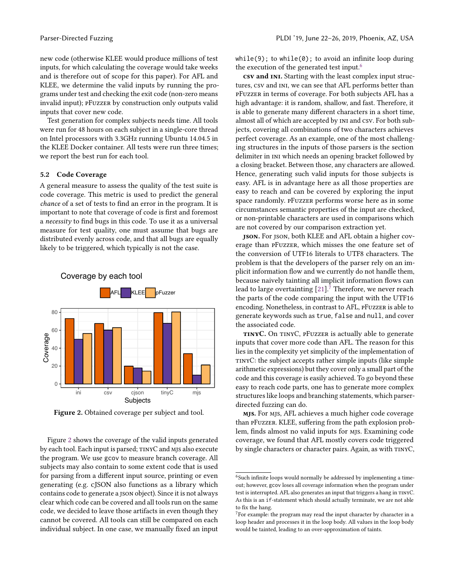new code (otherwise KLEE would produce millions of test inputs, for which calculating the coverage would take weeks and is therefore out of scope for this paper). For AFL and KLEE, we determine the valid inputs by running the programs under test and checking the exit code (non-zero means invalid input); pFuzzer by construction only outputs valid inputs that cover new code.

Test generation for complex subjects needs time. All tools were run for 48 hours on each subject in a single-core thread on Intel processors with 3.3GHz running Ubuntu 14.04.5 in the KLEE Docker container. All tests were run three times; we report the best run for each tool.

### 5.2 Code Coverage

A general measure to assess the quality of the test suite is code coverage. This metric is used to predict the general chance of a set of tests to find an error in the program. It is important to note that coverage of code is first and foremost a necessity to find bugs in this code. To use it as a universal measure for test quality, one must assume that bugs are distributed evenly across code, and that all bugs are equally likely to be triggered, which typically is not the case.

<span id="page-6-0"></span>

Figure 2. Obtained coverage per subject and tool.

Figure [2](#page-6-0) shows the coverage of the valid inputs generated by each tool. Each input is parsed; TINYC and MJS also execute the program. We use gcov to measure branch coverage. All subjects may also contain to some extent code that is used for parsing from a different input source, printing or even generating (e.g. cJSON also functions as a library which contains code to generate a json object). Since it is not always clear which code can be covered and all tools run on the same code, we decided to leave those artifacts in even though they cannot be covered. All tools can still be compared on each individual subject. In one case, we manually fixed an input  $while(9)$ ; to while(0); to avoid an infinite loop during the execution of the generated test input.<sup>[6](#page-6-1)</sup>

csv and ini. Starting with the least complex input structures, csv and INI, we can see that AFL performs better than pFuzzer in terms of coverage. For both subjects AFL has a high advantage: it is random, shallow, and fast. Therefore, it is able to generate many different characters in a short time, almost all of which are accepted by INI and CSV. For both subjects, covering all combinations of two characters achieves perfect coverage. As an example, one of the most challenging structures in the inputs of those parsers is the section delimiter in INI which needs an opening bracket followed by a closing bracket. Between those, any characters are allowed. Hence, generating such valid inputs for those subjects is easy. AFL is in advantage here as all those properties are easy to reach and can be covered by exploring the input space randomly. pFuzzer performs worse here as in some circumstances semantic properties of the input are checked, or non-printable characters are used in comparisons which are not covered by our comparison extraction yet.

json. For json, both KLEE and AFL obtain a higher coverage than pFuzzer, which misses the one feature set of the conversion of UTF16 literals to UTF8 characters. The problem is that the developers of the parser rely on an implicit information flow and we currently do not handle them, because naively tainting all implicit information flows can lead to large overtainting [\[21\]](#page-12-9).<sup>[7](#page-6-2)</sup> Therefore, we never reach the parts of the code comparing the input with the UTF16 encoding. Nonetheless, in contrast to AFL, pFuzzer is able to generate keywords such as true, false and null, and cover the associated code.

tinyC. On tinyC, pFuzzer is actually able to generate inputs that cover more code than AFL. The reason for this lies in the complexity yet simplicity of the implementation of tinyC: the subject accepts rather simple inputs (like simple arithmetic expressions) but they cover only a small part of the code and this coverage is easily achieved. To go beyond these easy to reach code parts, one has to generate more complex structures like loops and branching statements, which parserdirected fuzzing can do.

mjs. For mjs, AFL achieves a much higher code coverage than pFuzzer. KLEE, suffering from the path explosion problem, finds almost no valid inputs for mjs. Examining code coverage, we found that AFL mostly covers code triggered by single characters or character pairs. Again, as with TINYC,

<span id="page-6-1"></span><sup>&</sup>lt;sup>6</sup>Such infinite loops would normally be addressed by implementing a timeout; however, gcov loses all coverage information when the program under test is interrupted. AFL also generates an input that triggers a hang in TINYC. As this is an if-statement which should actually terminate, we are not able to fix the hang.

<span id="page-6-2"></span> $7$ For example: the program may read the input character by character in a loop header and processes it in the loop body. All values in the loop body would be tainted, leading to an over-approximation of taints.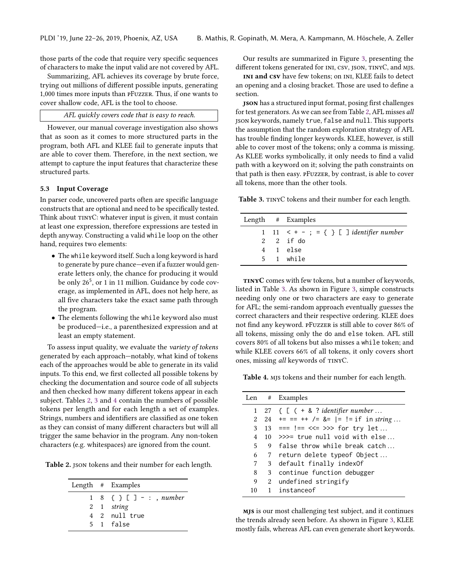those parts of the code that require very specific sequences of characters to make the input valid are not covered by AFL.

Summarizing, AFL achieves its coverage by brute force, trying out millions of different possible inputs, generating 1,000 times more inputs than pFuzzer. Thus, if one wants to cover shallow code, AFL is the tool to choose.

AFL quickly covers code that is easy to reach.

However, our manual coverage investigation also shows that as soon as it comes to more structured parts in the program, both AFL and KLEE fail to generate inputs that are able to cover them. Therefore, in the next section, we attempt to capture the input features that characterize these structured parts.

### 5.3 Input Coverage

In parser code, uncovered parts often are specific language constructs that are optional and need to be specifically tested. Think about TINYC: whatever input is given, it must contain at least one expression, therefore expressions are tested in depth anyway. Constructing a valid while loop on the other hand, requires two elements:

- The while keyword itself. Such a long keyword is hard to generate by pure chance—even if a fuzzer would generate letters only, the chance for producing it would be only 26<sup>5</sup>, or 1 in 11 million. Guidance by code coverage, as implemented in AFL, does not help here, as all five characters take the exact same path through the program.
- The elements following the while keyword also must be produced—i.e., a parenthesized expression and at least an empty statement.

To assess input quality, we evaluate the variety of tokens generated by each approach—notably, what kind of tokens each of the approaches would be able to generate in its valid inputs. To this end, we first collected all possible tokens by checking the documentation and source code of all subjects and then checked how many different tokens appear in each subject. Tables [2,](#page-7-0) [3](#page-7-1) and [4](#page-7-2) contain the numbers of possible tokens per length and for each length a set of examples. Strings, numbers and identifiers are classified as one token as they can consist of many different characters but will all trigger the same behavior in the program. Any non-token characters (e.g. whitespaces) are ignored from the count.

<span id="page-7-0"></span>Table 2. json tokens and their number for each length.

|  | Length # Examples                |
|--|----------------------------------|
|  | $1 \ 8 \ \{ \}$ [ ] - : , number |
|  | 2 1 string                       |
|  | 4 2 null true                    |
|  | 5 1 false                        |

Our results are summarized in Figure [3,](#page-8-1) presenting the different tokens generated for INI, CSV, JSON, TINYC, and MJS.

INI and csv have few tokens; on INI, KLEE fails to detect an opening and a closing bracket. Those are used to define a section.

json has a structured input format, posing first challenges for test generators. As we can see from Table [2,](#page-7-0) AFL misses all json keywords, namely true, false and null. This supports the assumption that the random exploration strategy of AFL has trouble finding longer keywords. KLEE, however, is still able to cover most of the tokens; only a comma is missing. As KLEE works symbolically, it only needs to find a valid path with a keyword on it; solving the path constraints on that path is then easy. pFuzzer, by contrast, is able to cover all tokens, more than the other tools.

<span id="page-7-1"></span>Table 3. TINYC tokens and their number for each length.

| Length # Examples                                  |
|----------------------------------------------------|
| 1 11 $\leftarrow$ + -; = { } [ ] identifier number |
| $2 \quad 2 \quad \text{if do}$                     |
| 4 1 else                                           |
| 5 1 while                                          |
|                                                    |

TINYC comes with few tokens, but a number of keywords, listed in Table [3.](#page-7-1) As shown in Figure [3,](#page-8-1) simple constructs needing only one or two characters are easy to generate for AFL; the semi-random approach eventually guesses the correct characters and their respective ordering. KLEE does not find any keyword. pFuzzer is still able to cover 86% of all tokens, missing only the do and else token. AFL still covers 80% of all tokens but also misses a while token; and while KLEE covers 66% of all tokens, it only covers short ones, missing all keywords of tinyC.

<span id="page-7-2"></span>Table 4. mjs tokens and their number for each length.

|              |   | Len $#$ Examples                                   |
|--------------|---|----------------------------------------------------|
| $\mathbf{1}$ |   | 27 $\{ \lceil$ ( + & ? identifier number           |
| 2            |   | $24$ += == ++ /= &=  = != if in string             |
| 3            |   | $13 == != << = >> for try let$                     |
| 4            |   | $10 \implies \geq \geq 1$ true null void with else |
| 5            | 9 | false throw while break catch                      |
| 6            |   | 7 return delete typeof Object                      |
| 7            | 3 | default finally indexOf                            |
| 8            |   | 3 continue function debugger                       |
| 9            |   | 2 undefined stringify                              |
| 10           |   | 1 instanceof                                       |

mjs is our most challenging test subject, and it continues the trends already seen before. As shown in Figure [3,](#page-8-1) KLEE mostly fails, whereas AFL can even generate short keywords.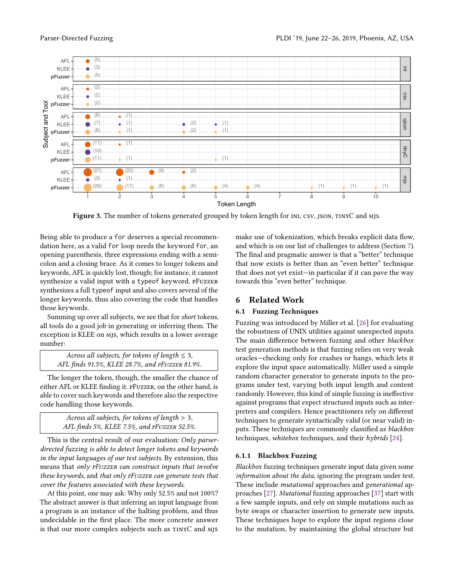<span id="page-8-1"></span>

Figure 3. The number of tokens generated grouped by token length for INI, CSV, JSON, TINYC and MJS.

Being able to produce a for deserves a special recommendation here, as a valid for loop needs the keyword for, an opening parenthesis, three expressions ending with a semicolon and a closing brace. As it comes to longer tokens and keywords, AFL is quickly lost, though; for instance, it cannot synthesize a valid input with a typeof keyword. pFuzzer synthesizes a full typeof input and also covers several of the longer keywords, thus also covering the code that handles those keywords.

Summing up over all subjects, we see that for short tokens, all tools do a good job in generating or inferring them. The exception is KLEE on mjs, which results in a lower average number:

```
Across all subjects, for tokens of length \leq 3,
AFL finds 91.5%, KLEE 28.7%, and pFuzzer 81.9%.
```
The longer the token, though, the smaller the chance of either AFL or KLEE finding it. pFuzzer, on the other hand, is able to cover such keywords and therefore also the respective code handling those keywords.

```
Across all subjects, for tokens of length > 3,
AFL finds 5%, KLEE 7.5%, and pFuzzer 52.5%.
```
This is the central result of our evaluation: Only parserdirected fuzzing is able to detect longer tokens and keywords in the input languages of our test subjects. By extension, this means that only pFuzzer can construct inputs that involve these keywords, and that only pFuzzer can generate tests that cover the features associated with these keywords.

At this point, one may ask: Why only 52.5% and not 100%? The abstract answer is that inferring an input language from a program is an instance of the halting problem, and thus undecidable in the first place. The more concrete answer is that our more complex subjects such as TINYC and MJS

make use of tokenization, which breaks explicit data flow, and which is on our list of challenges to address (Section [7\)](#page-10-0). The final and pragmatic answer is that a "better" technique that now exists is better than an "even better" technique that does not yet exist—in particular if it can pave the way towards this "even better" technique.

# <span id="page-8-0"></span>6 Related Work

# 6.1 Fuzzing Techniques

Fuzzing was introduced by Miller et al. [\[26\]](#page-12-10) for evaluating the robustness of UNIX utilities against unexpected inputs. The main difference between fuzzing and other blackbox test generation methods is that fuzzing relies on very weak oracles—checking only for crashes or hangs, which lets it explore the input space automatically. Miller used a simple random character generator to generate inputs to the programs under test, varying both input length and content randomly. However, this kind of simple fuzzing is ineffective against programs that expect structured inputs such as interpreters and compilers. Hence practitioners rely on different techniques to generate syntactically valid (or near valid) inputs. These techniques are commonly classified as blackbox techniques, whitebox techniques, and their hybrids [\[24\]](#page-12-11).

# 6.1.1 Blackbox Fuzzing

Blackbox fuzzing techniques generate input data given some information about the data, ignoring the program under test. These include mutational approaches and generational approaches [\[27\]](#page-12-12). Mutational fuzzing approaches [\[37\]](#page-12-1) start with a few sample inputs, and rely on simple mutations such as byte swaps or character insertion to generate new inputs. These techniques hope to explore the input regions close to the mutation, by maintaining the global structure but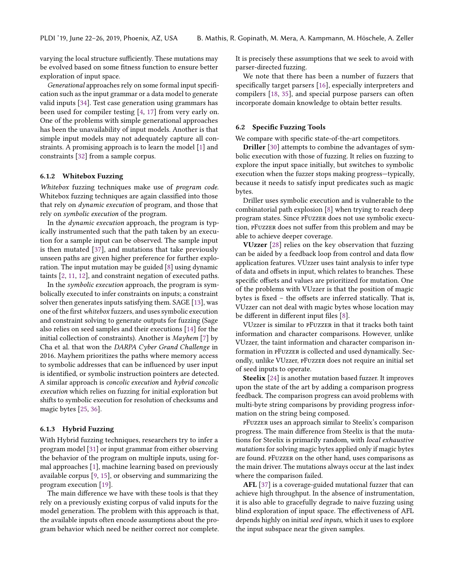varying the local structure sufficiently. These mutations may be evolved based on some fitness function to ensure better exploration of input space.

Generational approaches rely on some formal input specification such as the input grammar or a data model to generate valid inputs [\[34\]](#page-12-13). Test case generation using grammars has been used for compiler testing [\[4,](#page-12-14) [17\]](#page-12-15) from very early on. One of the problems with simple generational approaches has been the unavailability of input models. Another is that simple input models may not adequately capture all constraints. A promising approach is to learn the model [\[1\]](#page-12-16) and constraints [\[32\]](#page-12-17) from a sample corpus.

#### 6.1.2 Whitebox Fuzzing

Whitebox fuzzing techniques make use of program code. Whitebox fuzzing techniques are again classified into those that rely on dynamic execution of program, and those that rely on symbolic execution of the program.

In the dynamic execution approach, the program is typically instrumented such that the path taken by an execution for a sample input can be observed. The sample input is then mutated [\[37\]](#page-12-1), and mutations that take previously unseen paths are given higher preference for further exploration. The input mutation may be guided [\[8\]](#page-12-18) using dynamic taints [\[2,](#page-12-19) [11,](#page-12-20) [12\]](#page-12-21), and constraint negation of executed paths.

In the symbolic execution approach, the program is symbolically executed to infer constraints on inputs; a constraint solver then generates inputs satisfying them. SAGE [\[13\]](#page-12-22), was one of the first whitebox fuzzers, and uses symbolic execution and constraint solving to generate outputs for fuzzing (Sage also relies on seed samples and their executions [\[14\]](#page-12-23) for the initial collection of constraints). Another is Mayhem [\[7\]](#page-12-24) by Cha et al. that won the DARPA Cyber Grand Challenge in 2016. Mayhem prioritizes the paths where memory access to symbolic addresses that can be influenced by user input is identified, or symbolic instruction pointers are detected. A similar approach is concolic execution and hybrid concolic execution which relies on fuzzing for initial exploration but shifts to symbolic execution for resolution of checksums and magic bytes [\[25,](#page-12-25) [36\]](#page-12-26).

### 6.1.3 Hybrid Fuzzing

With Hybrid fuzzing techniques, researchers try to infer a program model [\[31\]](#page-12-27) or input grammar from either observing the behavior of the program on multiple inputs, using formal approaches [\[1\]](#page-12-16), machine learning based on previously available corpus [\[9,](#page-12-28) [15\]](#page-12-29), or observing and summarizing the program execution [\[19\]](#page-12-30).

The main difference we have with these tools is that they rely on a previously existing corpus of valid inputs for the model generation. The problem with this approach is that, the available inputs often encode assumptions about the program behavior which need be neither correct nor complete. It is precisely these assumptions that we seek to avoid with parser-directed fuzzing.

We note that there has been a number of fuzzers that specifically target parsers [\[16\]](#page-12-31), especially interpreters and compilers [\[18,](#page-12-32) [35\]](#page-12-33), and special purpose parsers can often incorporate domain knowledge to obtain better results.

#### 6.2 Specific Fuzzing Tools

We compare with specific state-of-the-art competitors.

Driller [\[30\]](#page-12-34) attempts to combine the advantages of symbolic execution with those of fuzzing. It relies on fuzzing to explore the input space initially, but switches to symbolic execution when the fuzzer stops making progress—typically, because it needs to satisfy input predicates such as magic bytes.

Driller uses symbolic execution and is vulnerable to the combinatorial path explosion [\[8\]](#page-12-18) when trying to reach deep program states. Since pFuzzer does not use symbolic execution, pFuzzer does not suffer from this problem and may be able to achieve deeper coverage.

VUzzer [\[28\]](#page-12-35) relies on the key observation that fuzzing can be aided by a feedback loop from control and data flow application features. VUzzer uses taint analysis to infer type of data and offsets in input, which relates to branches. These specific offsets and values are prioritized for mutation. One of the problems with VUzzer is that the position of magic bytes is fixed – the offsets are inferred statically. That is, VUzzer can not deal with magic bytes whose location may be different in different input files [\[8\]](#page-12-18).

VUzzer is similar to pFuzzer in that it tracks both taint information and character comparisons. However, unlike VUzzer, the taint information and character comparison information in pFuzzer is collected and used dynamically. Secondly, unlike VUzzer, pFuzzer does not require an initial set of seed inputs to operate.

Steelix [\[24\]](#page-12-11) is another mutation based fuzzer. It improves upon the state of the art by adding a comparison progress feedback. The comparison progress can avoid problems with multi-byte string comparisons by providing progress information on the string being composed.

pFuzzer uses an approach similar to Steelix's comparison progress. The main difference from Steelix is that the mutations for Steelix is primarily random, with local exhaustive mutations for solving magic bytes applied only if magic bytes are found. pFuzzer on the other hand, uses comparisons as the main driver. The mutations always occur at the last index where the comparison failed.

AFL [\[37\]](#page-12-1) is a coverage-guided mutational fuzzer that can achieve high throughput. In the absence of instrumentation, it is also able to gracefully degrade to naive fuzzing using blind exploration of input space. The effectiveness of AFL depends highly on initial seed inputs, which it uses to explore the input subspace near the given samples.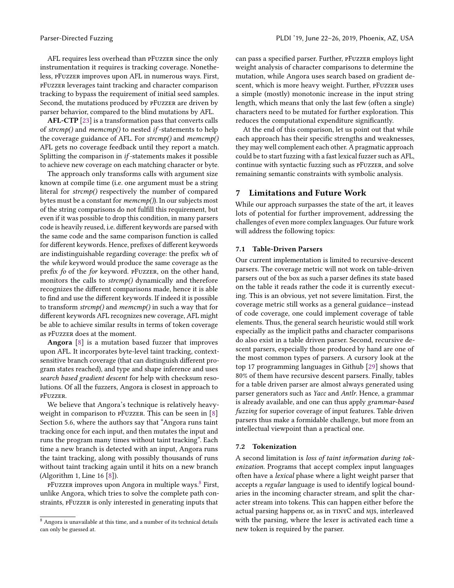AFL requires less overhead than pFuzzer since the only instrumentation it requires is tracking coverage. Nonetheless, pFuzzer improves upon AFL in numerous ways. First, pFuzzer leverages taint tracking and character comparison tracking to bypass the requirement of initial seed samples. Second, the mutations produced by pFuzzer are driven by parser behavior, compared to the blind mutations by AFL.

AFL-CTP [\[23\]](#page-12-36) is a transformation pass that converts calls of strcmp() and memcmp() to nested if-statements to help the coverage guidance of AFL. For  $stremp()$  and  $mememp()$ AFL gets no coverage feedback until they report a match. Splitting the comparison in if -statements makes it possible to achieve new coverage on each matching character or byte.

The approach only transforms calls with argument size known at compile time (i.e. one argument must be a string literal for strcmp() respectively the number of compared bytes must be a constant for memcmp()). In our subjects most of the string comparisons do not fulfill this requirement, but even if it was possible to drop this condition, in many parsers code is heavily reused, i.e. different keywords are parsed with the same code and the same comparison function is called for different keywords. Hence, prefixes of different keywords are indistinguishable regarding coverage: the prefix wh of the while keyword would produce the same coverage as the prefix fo of the for keyword. pFuzzer, on the other hand, monitors the calls to strcmp() dynamically and therefore recognizes the different comparisons made, hence it is able to find and use the different keywords. If indeed it is possible to transform strcmp() and memcmp() in such a way that for different keywords AFL recognizes new coverage, AFL might be able to achieve similar results in terms of token coverage as pFuzzer does at the moment.

Angora [\[8\]](#page-12-18) is a mutation based fuzzer that improves upon AFL. It incorporates byte-level taint tracking, contextsensitive branch coverage (that can distinguish different program states reached), and type and shape inference and uses search based gradient descent for help with checksum resolutions. Of all the fuzzers, Angora is closest in approach to pFuzzer.

We believe that Angora's technique is relatively heavyweight in comparison to pFuzzer. This can be seen in [\[8\]](#page-12-18) Section 5.6, where the authors say that "Angora runs taint tracking once for each input, and then mutates the input and runs the program many times without taint tracking". Each time a new branch is detected with an input, Angora runs the taint tracking, along with possibly thousands of runs without taint tracking again until it hits on a new branch (Algorithm 1, Line 16 [\[8\]](#page-12-18)).

pFuzzer improves upon Angora in multiple ways.[8](#page-10-1) First, unlike Angora, which tries to solve the complete path constraints, pFuzzer is only interested in generating inputs that

can pass a specified parser. Further, pFuzzer employs light weight analysis of character comparisons to determine the mutation, while Angora uses search based on gradient descent, which is more heavy weight. Further, pFuzzer uses a simple (mostly) monotonic increase in the input string length, which means that only the last few (often a single) characters need to be mutated for further exploration. This reduces the computational expenditure significantly.

At the end of this comparison, let us point out that while each approach has their specific strengths and weaknesses, they may well complement each other. A pragmatic approach could be to start fuzzing with a fast lexical fuzzer such as AFL, continue with syntactic fuzzing such as pFuzzer, and solve remaining semantic constraints with symbolic analysis.

# <span id="page-10-0"></span>7 Limitations and Future Work

While our approach surpasses the state of the art, it leaves lots of potential for further improvement, addressing the challenges of even more complex languages. Our future work will address the following topics:

### 7.1 Table-Driven Parsers

Our current implementation is limited to recursive-descent parsers. The coverage metric will not work on table-driven parsers out of the box as such a parser defines its state based on the table it reads rather the code it is currently executing. This is an obvious, yet not severe limitation. First, the coverage metric still works as a general guidance—instead of code coverage, one could implement coverage of table elements. Thus, the general search heuristic would still work especially as the implicit paths and character comparisons do also exist in a table driven parser. Second, recursive descent parsers, especially those produced by hand are one of the most common types of parsers. A cursory look at the top 17 programming languages in Github [\[29\]](#page-12-37) shows that 80% of them have recursive descent parsers. Finally, tables for a table driven parser are almost always generated using parser generators such as Yacc and Antlr. Hence, a grammar is already available, and one can thus apply grammar-based fuzzing for superior coverage of input features. Table driven parsers thus make a formidable challenge, but more from an intellectual viewpoint than a practical one.

#### 7.2 Tokenization

A second limitation is loss of taint information during tokenization. Programs that accept complex input languages often have a lexical phase where a light weight parser that accepts a regular language is used to identify logical boundaries in the incoming character stream, and split the character stream into tokens. This can happen either before the actual parsing happens or, as in tinyC and mjs, interleaved with the parsing, where the lexer is activated each time a new token is required by the parser.

<span id="page-10-1"></span> $8$  Angora is unavailable at this time, and a number of its technical details can only be guessed at.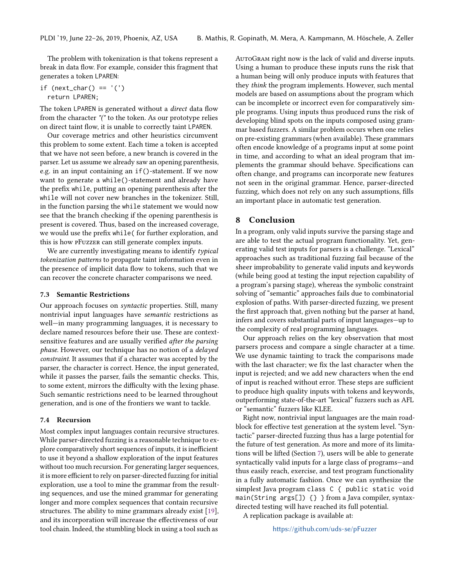The problem with tokenization is that tokens represent a break in data flow. For example, consider this fragment that generates a token LPAREN:

```
if (next_{char}) == '(')return LPAREN;
```
The token LPAREN is generated without a *direct* data flow from the character "(" to the token. As our prototype relies on direct taint flow, it is unable to correctly taint LPAREN.

Our coverage metrics and other heuristics circumvent this problem to some extent. Each time a token is accepted that we have not seen before, a new branch is covered in the parser. Let us assume we already saw an opening parenthesis, e.g. in an input containing an if()-statement. If we now want to generate a while()-statement and already have the prefix while, putting an opening parenthesis after the while will not cover new branches in the tokenizer. Still, in the function parsing the while statement we would now see that the branch checking if the opening parenthesis is present is covered. Thus, based on the increased coverage, we would use the prefix while( for further exploration, and this is how pFuzzer can still generate complex inputs.

We are currently investigating means to identify *<i>ypical* tokenization patterns to propagate taint information even in the presence of implicit data flow to tokens, such that we can recover the concrete character comparisons we need.

### 7.3 Semantic Restrictions

Our approach focuses on syntactic properties. Still, many nontrivial input languages have semantic restrictions as well—in many programming languages, it is necessary to declare named resources before their use. These are contextsensitive features and are usually verified after the parsing phase. However, our technique has no notion of a delayed constraint. It assumes that if a character was accepted by the parser, the character is correct. Hence, the input generated, while it passes the parser, fails the semantic checks. This, to some extent, mirrors the difficulty with the lexing phase. Such semantic restrictions need to be learned throughout generation, and is one of the frontiers we want to tackle.

### 7.4 Recursion

Most complex input languages contain recursive structures. While parser-directed fuzzing is a reasonable technique to explore comparatively short sequences of inputs, it is inefficient to use it beyond a shallow exploration of the input features without too much recursion. For generating larger sequences, it is more efficient to rely on parser-directed fuzzing for initial exploration, use a tool to mine the grammar from the resulting sequences, and use the mined grammar for generating longer and more complex sequences that contain recursive structures. The ability to mine grammars already exist [\[19\]](#page-12-30), and its incorporation will increase the effectiveness of our tool chain. Indeed, the stumbling block in using a tool such as

AUTOGRAM right now is the lack of valid and diverse inputs. Using a human to produce these inputs runs the risk that a human being will only produce inputs with features that they think the program implements. However, such mental models are based on assumptions about the program which can be incomplete or incorrect even for comparatively simple programs. Using inputs thus produced runs the risk of developing blind spots on the inputs composed using grammar based fuzzers. A similar problem occurs when one relies on pre-existing grammars (when available). These grammars often encode knowledge of a programs input at some point in time, and according to what an ideal program that implements the grammar should behave. Specifications can often change, and programs can incorporate new features not seen in the original grammar. Hence, parser-directed fuzzing, which does not rely on any such assumptions, fills an important place in automatic test generation.

### <span id="page-11-0"></span>8 Conclusion

In a program, only valid inputs survive the parsing stage and are able to test the actual program functionality. Yet, generating valid test inputs for parsers is a challenge. "Lexical" approaches such as traditional fuzzing fail because of the sheer improbability to generate valid inputs and keywords (while being good at testing the input rejection capability of a program's parsing stage), whereas the symbolic constraint solving of "semantic" approaches fails due to combinatorial explosion of paths. With parser-directed fuzzing, we present the first approach that, given nothing but the parser at hand, infers and covers substantial parts of input languages—up to the complexity of real programming languages.

Our approach relies on the key observation that most parsers process and compare a single character at a time. We use dynamic tainting to track the comparisons made with the last character; we fix the last character when the input is rejected; and we add new characters when the end of input is reached without error. These steps are sufficient to produce high quality inputs with tokens and keywords, outperforming state-of-the-art "lexical" fuzzers such as AFL or "semantic" fuzzers like KLEE.

Right now, nontrivial input languages are the main roadblock for effective test generation at the system level. "Syntactic" parser-directed fuzzing thus has a large potential for the future of test generation. As more and more of its limitations will be lifted (Section [7\)](#page-10-0), users will be able to generate syntactically valid inputs for a large class of programs—and thus easily reach, exercise, and test program functionality in a fully automatic fashion. Once we can synthesize the simplest Java program class C { public static void main(String args[]) {} } from a Java compiler, syntaxdirected testing will have reached its full potential.

A replication package is available at:

<https://github.com/uds-se/pFuzzer>